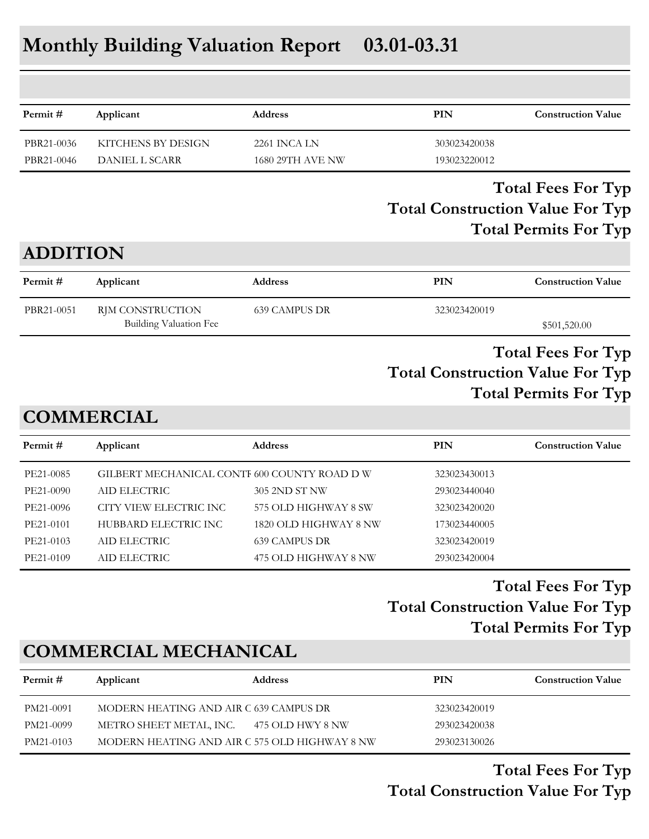# **Monthly Building Valuation Report 03.01-03.31**

| Permit#         | Applicant              | <b>Address</b>          | PIN          | <b>Construction Value</b>    |
|-----------------|------------------------|-------------------------|--------------|------------------------------|
| PBR21-0036      | KITCHENS BY DESIGN     | 2261 INCA LN            | 303023420038 |                              |
| PBR21-0046      | DANIEL L SCARR         | <b>1680 29TH AVE NW</b> | 193023220012 |                              |
|                 |                        |                         |              | <b>Total Permits For Typ</b> |
| <b>ADDITION</b> |                        |                         |              |                              |
| Permit#         | Applicant              | <b>Address</b>          | PIN          | <b>Construction Value</b>    |
| PBR21-0051      | RJM CONSTRUCTION       | <b>639 CAMPUS DR</b>    | 323023420019 |                              |
|                 | Building Valuation Fee |                         |              | \$501,520.00                 |

### **Total Construction Value For Typ Total Fees For Typ Total Permits For Typ**

### **COMMERCIAL**

| Permit #  | Applicant                                    | <b>Address</b>        | <b>PIN</b>   | <b>Construction Value</b> |
|-----------|----------------------------------------------|-----------------------|--------------|---------------------------|
| PE21-0085 | GILBERT MECHANICAL CONTI 600 COUNTY ROAD D W |                       | 323023430013 |                           |
| PE21-0090 | AID ELECTRIC                                 | 305 2ND ST NW         | 293023440040 |                           |
| PE21-0096 | CITY VIEW ELECTRIC INC                       | 575 OLD HIGHWAY 8 SW  | 323023420020 |                           |
| PE21-0101 | HUBBARD ELECTRIC INC                         | 1820 OLD HIGHWAY 8 NW | 173023440005 |                           |
| PE21-0103 | AID ELECTRIC                                 | 639 CAMPUS DR         | 323023420019 |                           |
| PE21-0109 | AID ELECTRIC                                 | 475 OLD HIGHWAY 8 NW  | 293023420004 |                           |
|           |                                              |                       |              |                           |

### **Total Construction Value For Typ Total Fees For Typ Total Permits For Typ**

## **COMMERCIAL MECHANICAL**

| Permit #  | Applicant                                     | <b>Address</b>   | PIN          | <b>Construction Value</b> |
|-----------|-----------------------------------------------|------------------|--------------|---------------------------|
| PM21-0091 | MODERN HEATING AND AIR C 639 CAMPUS DR        |                  | 323023420019 |                           |
| PM21-0099 | METRO SHEET METAL, INC.                       | 475 OLD HWY 8 NW | 293023420038 |                           |
| PM21-0103 | MODERN HEATING AND AIR C 575 OLD HIGHWAY 8 NW |                  | 293023130026 |                           |

**Total Construction Value For Typ Total Fees For Typ**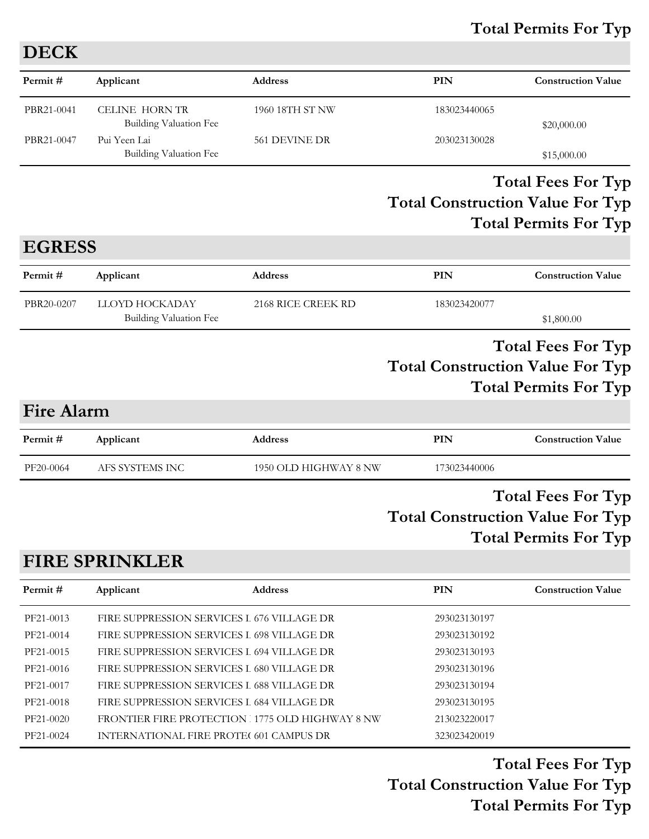### **Total Permits For Typ**

| <b>DECK</b> |                                               |                 |              |                           |
|-------------|-----------------------------------------------|-----------------|--------------|---------------------------|
| Permit#     | Applicant                                     | Address         | PIN          | <b>Construction Value</b> |
| PBR21-0041  | CELINE HORN TR<br>Building Valuation Fee      | 1960 18TH ST NW | 183023440065 | \$20,000.00               |
| PBR21-0047  | Pui Yeen Lai<br><b>Building Valuation Fee</b> | 561 DEVINE DR   | 203023130028 | \$15,000.00               |

### **Total Construction Value For Typ Total Fees For Typ Total Permits For Typ**

### **EGRESS**

| Permit #   | Applicant              | <b>Address</b>     | PIN          | <b>Construction Value</b> |
|------------|------------------------|--------------------|--------------|---------------------------|
| PBR20-0207 | LLOYD HOCKADAY         | 2168 RICE CREEK RD | 183023420077 |                           |
|            | Building Valuation Fee |                    |              | \$1,800.00                |

### **Total Construction Value For Typ Total Fees For Typ Total Permits For Typ**

### **Fire Alarm**

| Permit#   | Applicant       | <b>Address</b>        | PIN          | <b>Construction Value</b> |
|-----------|-----------------|-----------------------|--------------|---------------------------|
| PF20-0064 | AFS SYSTEMS INC | 1950 OLD HIGHWAY 8 NW | 173023440006 |                           |
|           |                 |                       |              |                           |

### **Total Construction Value For Typ Total Fees For Typ Total Permits For Typ**

### **FIRE SPRINKLER**

| Permit#   | Applicant                                      | <b>Address</b> | <b>PIN</b>   | <b>Construction Value</b> |
|-----------|------------------------------------------------|----------------|--------------|---------------------------|
| PF21-0013 | FIRE SUPPRESSION SERVICES I 676 VILLAGE DR     |                | 293023130197 |                           |
| PF21-0014 | FIRE SUPPRESSION SERVICES I 698 VILLAGE DR     |                | 293023130192 |                           |
| PF21-0015 | FIRE SUPPRESSION SERVICES I 694 VILLAGE DR     |                | 293023130193 |                           |
| PF21-0016 | FIRE SUPPRESSION SERVICES I 680 VILLAGE DR     |                | 293023130196 |                           |
| PF21-0017 | FIRE SUPPRESSION SERVICES I 688 VILLAGE DR     |                | 293023130194 |                           |
| PF21-0018 | FIRE SUPPRESSION SERVICES I 684 VILLAGE DR     |                | 293023130195 |                           |
| PF21-0020 | FRONTIER FIRE PROTECTION 1775 OLD HIGHWAY 8 NW |                | 213023220017 |                           |
| PF21-0024 | INTERNATIONAL FIRE PROTE(601 CAMPUS DR         |                | 323023420019 |                           |

**Total Construction Value For Typ Total Fees For Typ Total Permits For Typ**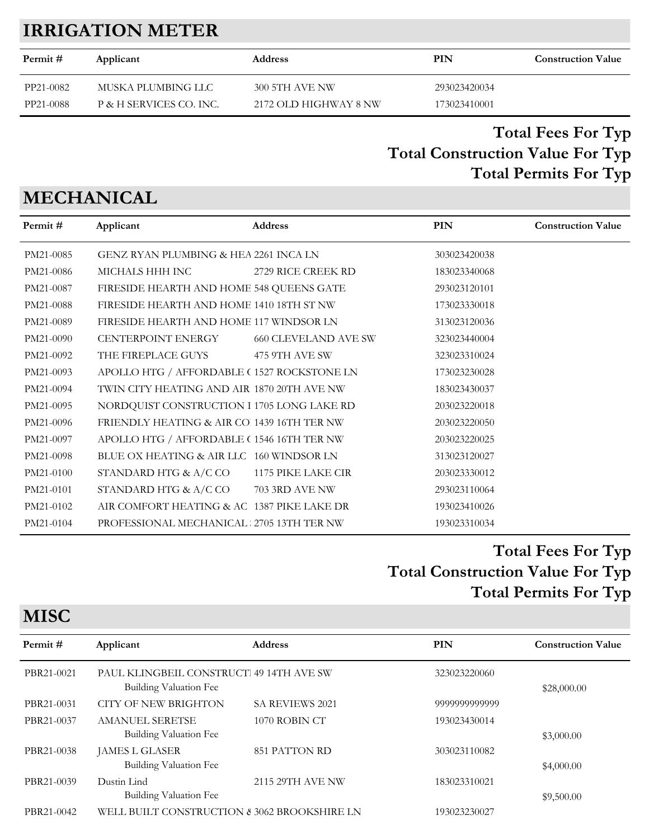## **IRRIGATION METER**

| Permit #  | Applicant               | <b>Address</b>        | PIN          | <b>Construction Value</b> |
|-----------|-------------------------|-----------------------|--------------|---------------------------|
| PP21-0082 | MUSKA PLUMBING LLC      | <b>300 5TH AVE NW</b> | 293023420034 |                           |
| PP21-0088 | P & H SERVICES CO. INC. | 2172 OLD HIGHWAY 8 NW | 173023410001 |                           |

### **Total Construction Value For Typ Total Fees For Typ Total Permits For Typ**

## **MECHANICAL**

**MISC**

| Permit#   | Applicant                                   | <b>Address</b>              | <b>PIN</b>   | <b>Construction Value</b> |
|-----------|---------------------------------------------|-----------------------------|--------------|---------------------------|
| PM21-0085 | GENZ RYAN PLUMBING & HEA 2261 INCA LN       |                             | 303023420038 |                           |
| PM21-0086 | MICHALS HHH INC                             | 2729 RICE CREEK RD          | 183023340068 |                           |
| PM21-0087 | FIRESIDE HEARTH AND HOME 548 QUEENS GATE    |                             | 293023120101 |                           |
| PM21-0088 | FIRESIDE HEARTH AND HOME 1410 18TH ST NW    |                             | 173023330018 |                           |
| PM21-0089 | FIRESIDE HEARTH AND HOME 117 WINDSOR LN     |                             | 313023120036 |                           |
| PM21-0090 | <b>CENTERPOINT ENERGY</b>                   | <b>660 CLEVELAND AVE SW</b> | 323023440004 |                           |
| PM21-0092 | THE FIREPLACE GUYS                          | 475 9TH AVE SW              | 323023310024 |                           |
| PM21-0093 | APOLLO HTG / AFFORDABLE (1527 ROCKSTONE LN  |                             | 173023230028 |                           |
| PM21-0094 | TWIN CITY HEATING AND AIR 1870 20TH AVE NW  |                             | 183023430037 |                           |
| PM21-0095 | NORDQUIST CONSTRUCTION I 1705 LONG LAKE RD  |                             | 203023220018 |                           |
| PM21-0096 | FRIENDLY HEATING & AIR CO. 1439 16TH TER NW |                             | 203023220050 |                           |
| PM21-0097 | APOLLO HTG / AFFORDABLE (1546 16TH TER NW   |                             | 203023220025 |                           |
| PM21-0098 | BLUE OX HEATING & AIR LLC 160 WINDSOR LN    |                             | 313023120027 |                           |
| PM21-0100 | STANDARD HTG & A/C CO                       | 1175 PIKE LAKE CIR          | 203023330012 |                           |
| PM21-0101 | STANDARD HTG & A/C CO                       | 703 3RD AVE NW              | 293023110064 |                           |
| PM21-0102 | AIR COMFORT HEATING & AC 1387 PIKE LAKE DR  |                             | 193023410026 |                           |
| PM21-0104 | PROFESSIONAL MECHANICAL 2705 13TH TER NW    |                             | 193023310034 |                           |
|           |                                             |                             |              |                           |

## **Total Construction Value For Typ Total Fees For Typ Total Permits For Typ**

| <b>IVITOC</b> |                                                                   |                        |               |                           |  |
|---------------|-------------------------------------------------------------------|------------------------|---------------|---------------------------|--|
| Permit#       | Applicant                                                         | <b>Address</b>         | <b>PIN</b>    | <b>Construction Value</b> |  |
| PBR21-0021    | PAUL KLINGBEIL CONSTRUCT 49 14TH AVE SW<br>Building Valuation Fee |                        | 323023220060  | \$28,000.00               |  |
| PBR21-0031    | <b>CITY OF NEW BRIGHTON</b>                                       | <b>SA REVIEWS 2021</b> | 9999999999999 |                           |  |
| PBR21-0037    | <b>AMANUEL SERETSE</b><br>Building Valuation Fee                  | 1070 ROBIN CT          | 193023430014  | \$3,000.00                |  |
| PBR21-0038    | JAMES L GLASER<br>Building Valuation Fee                          | 851 PATTON RD          | 303023110082  | \$4,000.00                |  |
| PBR21-0039    | Dustin Lind<br>Building Valuation Fee                             | 2115 29TH AVE NW       | 183023310021  | \$9,500.00                |  |
| PBR21-0042    | WELL BUILT CONSTRUCTION & 3062 BROOKSHIRE LN                      |                        | 193023230027  |                           |  |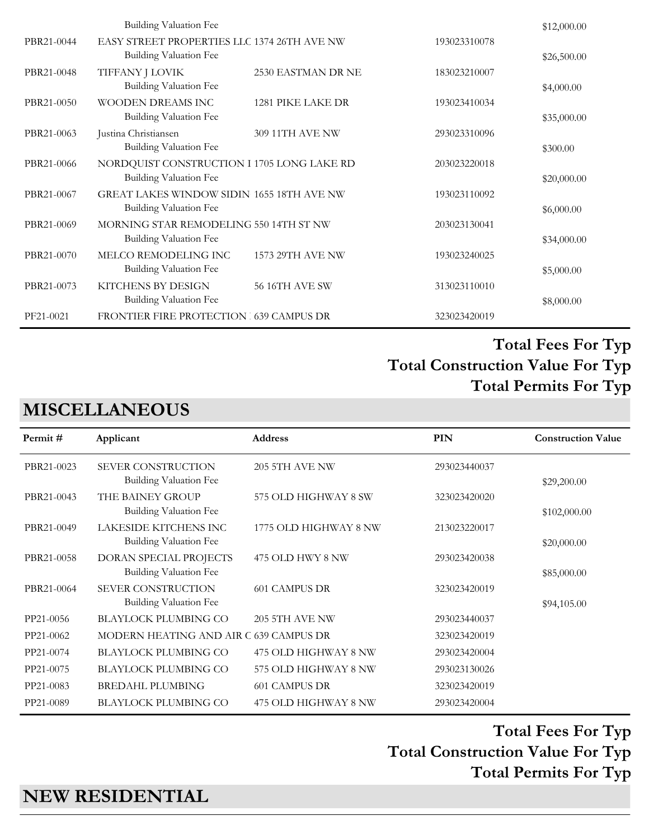|            | Building Valuation Fee                           |                       |              | \$12,000.00 |
|------------|--------------------------------------------------|-----------------------|--------------|-------------|
| PBR21-0044 | EASY STREET PROPERTIES LLC 1374 26TH AVE NW      |                       | 193023310078 |             |
|            | Building Valuation Fee                           |                       |              | \$26,500.00 |
| PBR21-0048 | TIFFANY J LOVIK                                  | 2530 EASTMAN DR NE    | 183023210007 |             |
|            | <b>Building Valuation Fee</b>                    |                       |              | \$4,000.00  |
| PBR21-0050 | WOODEN DREAMS INC                                | 1281 PIKE LAKE DR     | 193023410034 |             |
|            | Building Valuation Fee                           |                       |              | \$35,000.00 |
| PBR21-0063 | Justina Christiansen                             | 309 11TH AVE NW       | 293023310096 |             |
|            | Building Valuation Fee                           |                       |              | \$300.00    |
| PBR21-0066 | NORDQUIST CONSTRUCTION I 1705 LONG LAKE RD       |                       | 203023220018 |             |
|            | Building Valuation Fee                           |                       |              | \$20,000.00 |
| PBR21-0067 | <b>GREAT LAKES WINDOW SIDIN 1655 18TH AVE NW</b> |                       | 193023110092 |             |
|            | Building Valuation Fee                           |                       |              | \$6,000.00  |
| PBR21-0069 | MORNING STAR REMODELING 550 14TH ST NW           |                       | 203023130041 |             |
|            | Building Valuation Fee                           |                       |              | \$34,000.00 |
| PBR21-0070 | MELCO REMODELING INC                             | 1573 29TH AVE NW      | 193023240025 |             |
|            | Building Valuation Fee                           |                       |              | \$5,000.00  |
| PBR21-0073 | KITCHENS BY DESIGN                               | <b>56 16TH AVE SW</b> | 313023110010 |             |
|            | Building Valuation Fee                           |                       |              | \$8,000.00  |
| PF21-0021  | FRONTIER FIRE PROTECTION 539 CAMPUS DR           |                       | 323023420019 |             |

### **MISCELLANEOUS**

| Permit #   | Applicant                                                  | <b>Address</b>        | PIN          | <b>Construction Value</b> |
|------------|------------------------------------------------------------|-----------------------|--------------|---------------------------|
| PBR21-0023 | SEVER CONSTRUCTION<br><b>Building Valuation Fee</b>        | 205 5TH AVE NW        | 293023440037 | \$29,200.00               |
| PBR21-0043 | THE BAINEY GROUP<br><b>Building Valuation Fee</b>          | 575 OLD HIGHWAY 8 SW  | 323023420020 | \$102,000.00              |
| PBR21-0049 | LAKESIDE KITCHENS INC<br><b>Building Valuation Fee</b>     | 1775 OLD HIGHWAY 8 NW | 213023220017 | \$20,000.00               |
| PBR21-0058 | DORAN SPECIAL PROJECTS<br>Building Valuation Fee           | 475 OLD HWY 8 NW      | 293023420038 | \$85,000.00               |
| PBR21-0064 | <b>SEVER CONSTRUCTION</b><br><b>Building Valuation Fee</b> | <b>601 CAMPUS DR</b>  | 323023420019 | \$94,105.00               |
| PP21-0056  | <b>BLAYLOCK PLUMBING CO</b>                                | 205 5TH AVE NW        | 293023440037 |                           |
| PP21-0062  | MODERN HEATING AND AIR C 639 CAMPUS DR                     |                       | 323023420019 |                           |
| PP21-0074  | <b>BLAYLOCK PLUMBING CO</b>                                | 475 OLD HIGHWAY 8 NW  | 293023420004 |                           |
| PP21-0075  | <b>BLAYLOCK PLUMBING CO</b>                                | 575 OLD HIGHWAY 8 NW  | 293023130026 |                           |
| PP21-0083  | <b>BREDAHL PLUMBING</b>                                    | <b>601 CAMPUS DR</b>  | 323023420019 |                           |
| PP21-0089  | <b>BLAYLOCK PLUMBING CO</b>                                | 475 OLD HIGHWAY 8 NW  | 293023420004 |                           |

**Total Construction Value For Typ Total Fees For Typ Total Permits For Typ** 

**NEW RESIDENTIAL**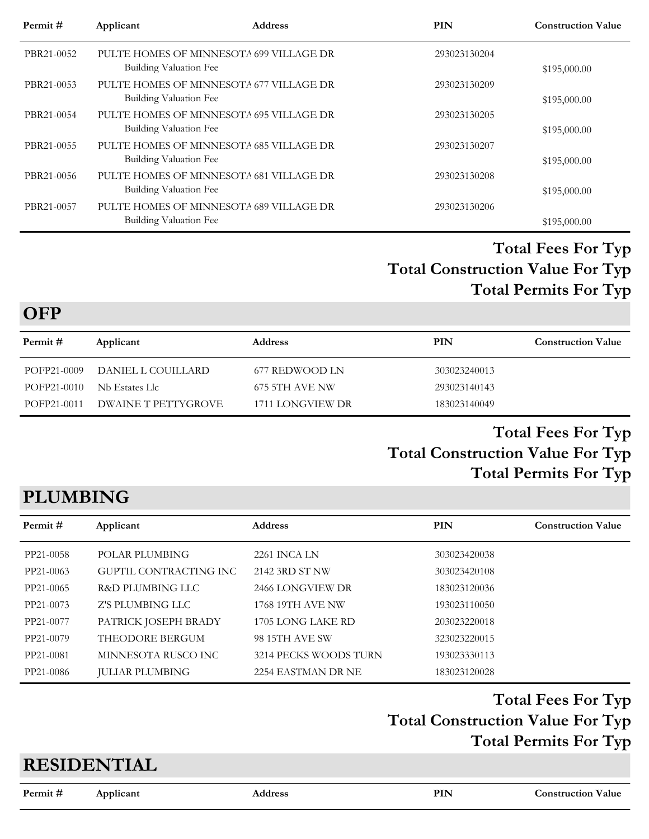| Permit#    | Applicant              | <b>Address</b>                          | PIN          | <b>Construction Value</b> |
|------------|------------------------|-----------------------------------------|--------------|---------------------------|
| PBR21-0052 | Building Valuation Fee | PULTE HOMES OF MINNESOTA 699 VILLAGE DR | 293023130204 | \$195,000.00              |
| PBR21-0053 | Building Valuation Fee | PULTE HOMES OF MINNESOTA 677 VILLAGE DR | 293023130209 | \$195,000.00              |
| PBR21-0054 | Building Valuation Fee | PULTE HOMES OF MINNESOTA 695 VILLAGE DR | 293023130205 | \$195,000.00              |
| PBR21-0055 | Building Valuation Fee | PULTE HOMES OF MINNESOTA 685 VILLAGE DR | 293023130207 | \$195,000.00              |
| PBR21-0056 | Building Valuation Fee | PULTE HOMES OF MINNESOTA 681 VILLAGE DR | 293023130208 | \$195,000.00              |
| PBR21-0057 | Building Valuation Fee | PULTE HOMES OF MINNESOTA 689 VILLAGE DR | 293023130206 | \$195,000.00              |

**OFP**

| Permit #    | Applicant           | <b>Address</b>   | PIN          | <b>Construction Value</b> |
|-------------|---------------------|------------------|--------------|---------------------------|
| POFP21-0009 | DANIEL L COUILLARD  | 677 REDWOOD LN   | 303023240013 |                           |
| POFP21-0010 | Nb Estates Llc      | 675 5TH AVE NW   | 293023140143 |                           |
| POFP21-0011 | DWAINE T PETTYGROVE | 1711 LONGVIEW DR | 183023140049 |                           |

### **Total Construction Value For Typ Total Fees For Typ Total Permits For Typ**

## **PLUMBING**

| Permit#   | Applicant              | <b>Address</b>          | <b>PIN</b>   | <b>Construction Value</b> |
|-----------|------------------------|-------------------------|--------------|---------------------------|
| PP21-0058 | POLAR PLUMBING         | 2261 INCA LN            | 303023420038 |                           |
| PP21-0063 | GUPTIL CONTRACTING INC | 2142 3RD ST NW          | 303023420108 |                           |
| PP21-0065 | R&D PLUMBING LLC       | 2466 LONGVIEW DR        | 183023120036 |                           |
| PP21-0073 | Z'S PLUMBING LLC       | <b>1768 19TH AVE NW</b> | 193023110050 |                           |
| PP21-0077 | PATRICK JOSEPH BRADY   | 1705 LONG LAKE RD       | 203023220018 |                           |
| PP21-0079 | THEODORE BERGUM        | <b>98 15TH AVE SW</b>   | 323023220015 |                           |
| PP21-0081 | MINNESOTA RUSCO INC    | 3214 PECKS WOODS TURN   | 193023330113 |                           |
| PP21-0086 | <b>JULIAR PLUMBING</b> | 2254 EASTMAN DR NE      | 183023120028 |                           |

**Total Construction Value For Typ Total Fees For Typ Total Permits For Typ** 

# **Permit # Applicant Address PIN Construction Value RESIDENTIAL**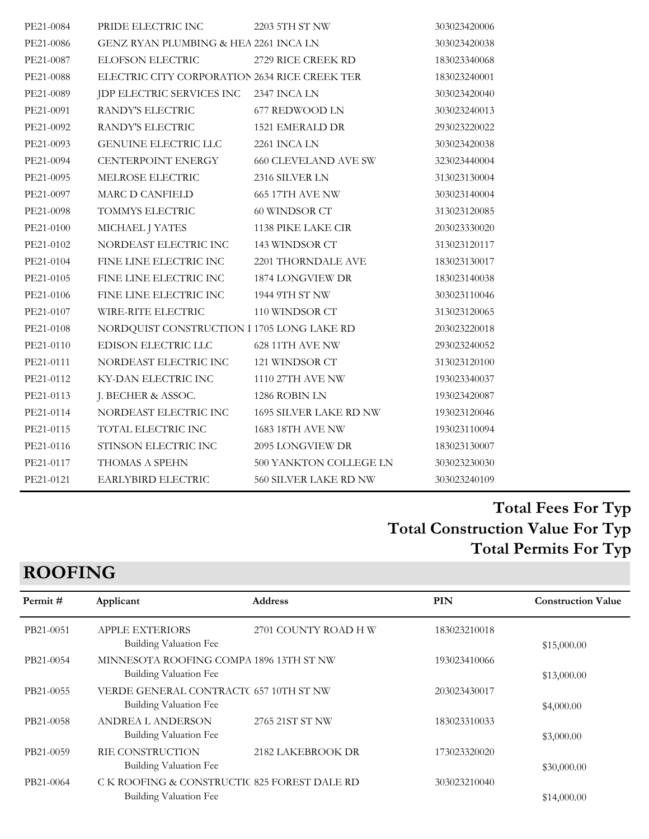| PE21-0084 | PRIDE ELECTRIC INC                            | 2203 5TH ST NW              | 303023420006 |
|-----------|-----------------------------------------------|-----------------------------|--------------|
| PE21-0086 | GENZ RYAN PLUMBING & HEA 2261 INCA LN         |                             | 303023420038 |
| PE21-0087 | ELOFSON ELECTRIC                              | 2729 RICE CREEK RD          | 183023340068 |
| PE21-0088 | ELECTRIC CITY CORPORATION 2634 RICE CREEK TER |                             | 183023240001 |
| PE21-0089 | JDP ELECTRIC SERVICES INC 2347 INCA LN        |                             | 303023420040 |
| PE21-0091 | RANDY'S ELECTRIC                              | 677 REDWOOD LN              | 303023240013 |
| PE21-0092 | RANDY'S ELECTRIC                              | 1521 EMERALD DR             | 293023220022 |
| PE21-0093 | <b>GENUINE ELECTRIC LLC</b>                   | 2261 INCA LN                | 303023420038 |
| PE21-0094 | CENTERPOINT ENERGY                            | <b>660 CLEVELAND AVE SW</b> | 323023440004 |
| PE21-0095 | MELROSE ELECTRIC                              | 2316 SILVER LN              | 313023130004 |
| PE21-0097 | MARC D CANFIELD                               | 665 17TH AVE NW             | 303023140004 |
| PE21-0098 | TOMMYS ELECTRIC                               | 60 WINDSOR CT               | 313023120085 |
| PE21-0100 | MICHAEL J YATES                               | 1138 PIKE LAKE CIR          | 203023330020 |
| PE21-0102 | NORDEAST ELECTRIC INC                         | 143 WINDSOR CT              | 313023120117 |
| PE21-0104 | FINE LINE ELECTRIC INC                        | 2201 THORNDALE AVE          | 183023130017 |
| PE21-0105 | FINE LINE ELECTRIC INC                        | 1874 LONGVIEW DR            | 183023140038 |
| PE21-0106 | FINE LINE ELECTRIC INC                        | 1944 9TH ST NW              | 303023110046 |
| PE21-0107 | WIRE-RITE ELECTRIC                            | 110 WINDSOR CT              | 313023120065 |
| PE21-0108 | NORDQUIST CONSTRUCTION I 1705 LONG LAKE RD    |                             | 203023220018 |
| PE21-0110 | EDISON ELECTRIC LLC                           | 628 11TH AVE NW             | 293023240052 |
| PE21-0111 | NORDEAST ELECTRIC INC                         | 121 WINDSOR CT              | 313023120100 |
| PE21-0112 | KY-DAN ELECTRIC INC                           | 1110 27TH AVE NW            | 193023340037 |
| PE21-0113 | J. BECHER & ASSOC.                            | 1286 ROBIN LN               | 193023420087 |
| PE21-0114 | NORDEAST ELECTRIC INC                         | 1695 SILVER LAKE RD NW      | 193023120046 |
| PE21-0115 | TOTAL ELECTRIC INC                            | 1683 18TH AVE NW            | 193023110094 |
| PE21-0116 | STINSON ELECTRIC INC                          | 2095 LONGVIEW DR            | 183023130007 |
| PE21-0117 | THOMAS A SPEHN                                | 500 YANKTON COLLEGE LN      | 303023230030 |
| PE21-0121 | EARLYBIRD ELECTRIC                            | 560 SILVER LAKE RD NW       | 303023240109 |

## **ROOFING**

| Permit#   | Applicant                                                              | <b>Address</b>       | PIN          | <b>Construction Value</b> |
|-----------|------------------------------------------------------------------------|----------------------|--------------|---------------------------|
| PB21-0051 | <b>APPLE EXTERIORS</b><br>Building Valuation Fee                       | 2701 COUNTY ROAD H W | 183023210018 | \$15,000.00               |
| PB21-0054 | MINNESOTA ROOFING COMPA 1896 13TH ST NW<br>Building Valuation Fee      |                      | 193023410066 | \$13,000.00               |
| PB21-0055 | VERDE GENERAL CONTRACTC 657 10TH ST NW<br>Building Valuation Fee       |                      | 203023430017 | \$4,000.00                |
| PB21-0058 | <b>ANDREA L ANDERSON</b><br>Building Valuation Fee                     | 2765 21ST ST NW      | 183023310033 | \$3,000.00                |
| PB21-0059 | RIE CONSTRUCTION<br>Building Valuation Fee                             | 2182 LAKEBROOK DR    | 173023320020 | \$30,000.00               |
| PB21-0064 | C K ROOFING & CONSTRUCTIC 825 FOREST DALE RD<br>Building Valuation Fee |                      | 303023210040 | \$14,000.00               |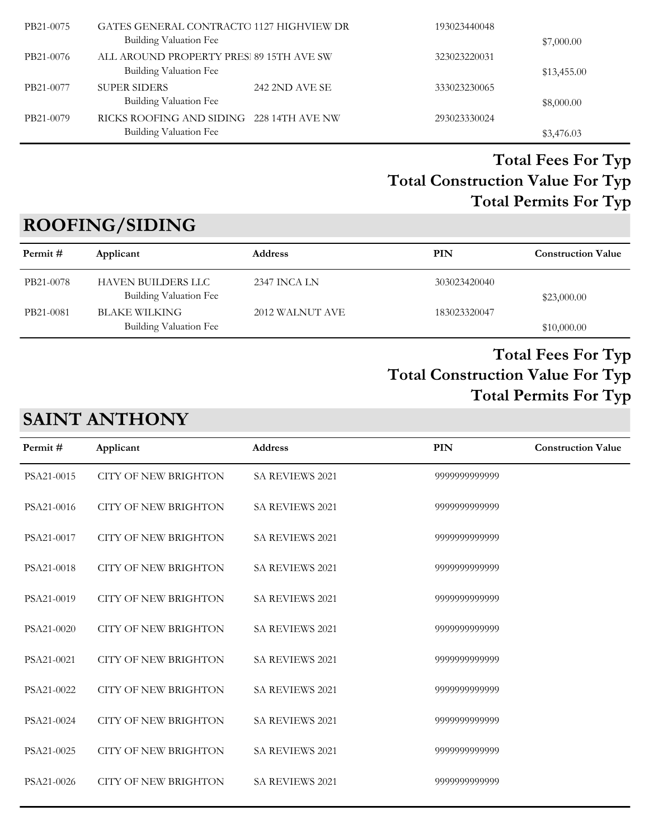| GATES GENERAL CONTRACTO 1127 HIGHVIEW DR<br>PB21-0075<br><b>Building Valuation Fee</b> | 193023440048 | \$7,000.00  |
|----------------------------------------------------------------------------------------|--------------|-------------|
| ALL AROUND PROPERTY PRES. 89 15TH AVE SW<br>PB21-0076<br><b>Building Valuation Fee</b> | 323023220031 | \$13,455.00 |
| <b>SUPER SIDERS</b><br>242 2ND AVE SE<br>PB21-0077<br><b>Building Valuation Fee</b>    | 333023230065 | \$8,000.00  |
| RICKS ROOFING AND SIDING 228 14TH AVE NW<br>PB21-0079<br>Building Valuation Fee        | 293023330024 | \$3,476.03  |

## **ROOFING/SIDING**

| Permit #  | Applicant                                    | <b>Address</b>  | PIN          | <b>Construction Value</b> |
|-----------|----------------------------------------------|-----------------|--------------|---------------------------|
| PB21-0078 | HAVEN BUILDERS LLC<br>Building Valuation Fee | 2347 INCA LN    | 303023420040 | \$23,000.00               |
| PB21-0081 | BLAKE WILKING<br>Building Valuation Fee      | 2012 WALNUT AVE | 183023320047 | \$10,000.00               |

### **Total Construction Value For Typ Total Fees For Typ Total Permits For Typ**

## **SAINT ANTHONY**

| Permit#    | Applicant                   | <b>Address</b>         | PIN           | <b>Construction Value</b> |
|------------|-----------------------------|------------------------|---------------|---------------------------|
| PSA21-0015 | <b>CITY OF NEW BRIGHTON</b> | <b>SA REVIEWS 2021</b> | 9999999999999 |                           |
| PSA21-0016 | <b>CITY OF NEW BRIGHTON</b> | <b>SA REVIEWS 2021</b> | 9999999999999 |                           |
| PSA21-0017 | <b>CITY OF NEW BRIGHTON</b> | <b>SA REVIEWS 2021</b> | 9999999999999 |                           |
| PSA21-0018 | <b>CITY OF NEW BRIGHTON</b> | <b>SA REVIEWS 2021</b> | 9999999999999 |                           |
| PSA21-0019 | <b>CITY OF NEW BRIGHTON</b> | SA REVIEWS 2021        | 9999999999999 |                           |
| PSA21-0020 | <b>CITY OF NEW BRIGHTON</b> | SA REVIEWS 2021        | 9999999999999 |                           |
| PSA21-0021 | <b>CITY OF NEW BRIGHTON</b> | SA REVIEWS 2021        | 9999999999999 |                           |
| PSA21-0022 | <b>CITY OF NEW BRIGHTON</b> | <b>SA REVIEWS 2021</b> | 9999999999999 |                           |
| PSA21-0024 | <b>CITY OF NEW BRIGHTON</b> | <b>SA REVIEWS 2021</b> | 9999999999999 |                           |
| PSA21-0025 | <b>CITY OF NEW BRIGHTON</b> | <b>SA REVIEWS 2021</b> | 9999999999999 |                           |
| PSA21-0026 | <b>CITY OF NEW BRIGHTON</b> | <b>SA REVIEWS 2021</b> | 9999999999999 |                           |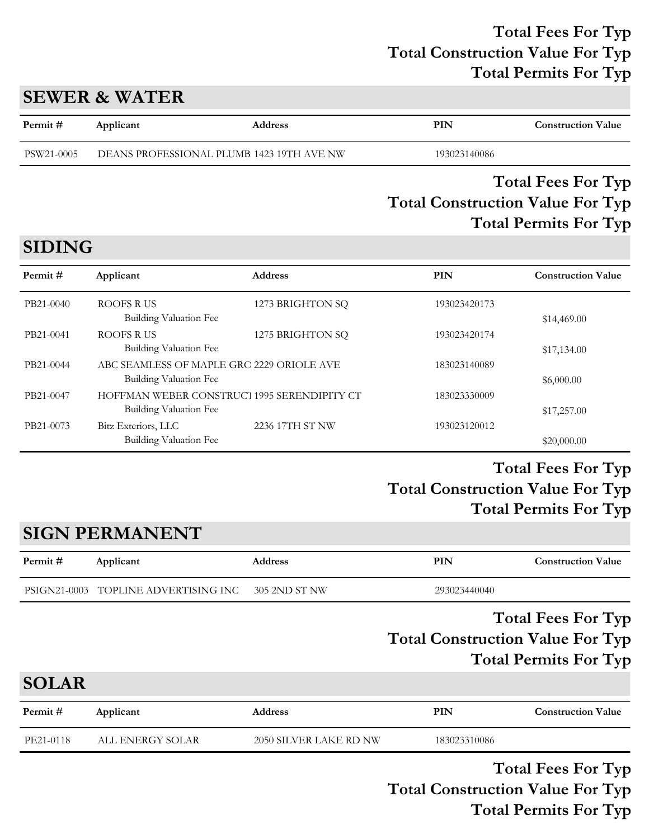### **SEWER & WATER**

**SIDING**

| DEANS PROFESSIONAL PLUMB 1423 19TH AVE NW<br>PSW21-0005<br>193023140086 | Permit# | Applicant | <b>Address</b> | PIN | <b>Construction Value</b> |
|-------------------------------------------------------------------------|---------|-----------|----------------|-----|---------------------------|
|                                                                         |         |           |                |     |                           |

### **Total Construction Value For Typ Total Fees For Typ Total Permits For Typ**

### **Permit # Applicant Address PIN Construction Value** PB21-0040 ROOFS R US 1273 BRIGHTON SQ 193023420173 Building Valuation Fee  $$14,469.00$ PB21-0041 ROOFS R US 1275 BRIGHTON SQ 193023420174 Building Valuation Fee  $$17,134.00$ PB21-0044 ABC SEAMLESS OF MAPLE GRC 2229 ORIOLE AVE 183023140089 Building Valuation Fee  $$6,000.00$ PB21-0047 HOFFMAN WEBER CONSTRUCT 1995 SERENDIPITY CT 183023330009 Building Valuation Fee  $$17,257.00$ PB21-0073 Bitz Exteriors, LLC 2236 17TH ST NW 193023120012 Building Valuation Fee  $$20,000.00$

### **Total Construction Value For Typ Total Fees For Typ Total Permits For Typ**

## **SIGN PERMANENT**

| Permit # | Applicant                            | Address       | PIN          | <b>Construction Value</b> |
|----------|--------------------------------------|---------------|--------------|---------------------------|
|          | PSIGN21-0003 TOPLINE ADVERTISING INC | 305 2ND ST NW | 293023440040 |                           |

### **Total Construction Value For Typ Total Fees For Typ Total Permits For Typ**

**SOLAR**

| 2050 SILVER LAKE RD NW<br>PE21-0118<br>183023310086<br>ALL ENERGY SOLAR | Permit # | Applicant | <b>Address</b> | PIN | <b>Construction Value</b> |
|-------------------------------------------------------------------------|----------|-----------|----------------|-----|---------------------------|
|                                                                         |          |           |                |     |                           |

**Total Construction Value For Typ Total Fees For Typ Total Permits For Typ**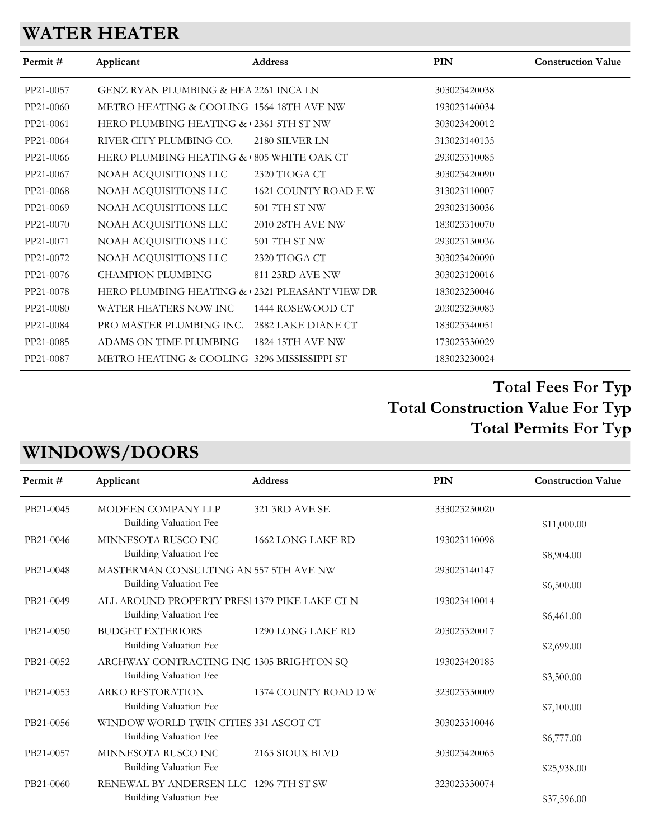## **WATER HEATER**

| Permit #  | Applicant                                     | Address              | <b>PIN</b>   | <b>Construction Value</b> |
|-----------|-----------------------------------------------|----------------------|--------------|---------------------------|
| PP21-0057 | GENZ RYAN PLUMBING & HEA 2261 INCA LN         |                      | 303023420038 |                           |
| PP21-0060 | METRO HEATING & COOLING 1564 18TH AVE NW      |                      | 193023140034 |                           |
| PP21-0061 | HERO PLUMBING HEATING & 2361 5TH ST NW        |                      | 303023420012 |                           |
| PP21-0064 | RIVER CITY PLUMBING CO.                       | 2180 SILVER LN       | 313023140135 |                           |
| PP21-0066 | HERO PLUMBING HEATING & 805 WHITE OAK CT      |                      | 293023310085 |                           |
| PP21-0067 | NOAH ACQUISITIONS LLC                         | 2320 TIOGA CT        | 303023420090 |                           |
| PP21-0068 | NOAH ACQUISITIONS LLC                         | 1621 COUNTY ROAD E W | 313023110007 |                           |
| PP21-0069 | NOAH ACQUISITIONS LLC                         | 501 7TH ST NW        | 293023130036 |                           |
| PP21-0070 | NOAH ACQUISITIONS LLC                         | 2010 28TH AVE NW     | 183023310070 |                           |
| PP21-0071 | NOAH ACQUISITIONS LLC                         | 501 7TH ST NW        | 293023130036 |                           |
| PP21-0072 | NOAH ACQUISITIONS LLC                         | 2320 TIOGA CT        | 303023420090 |                           |
| PP21-0076 | <b>CHAMPION PLUMBING</b>                      | 811 23RD AVE NW      | 303023120016 |                           |
| PP21-0078 | HERO PLUMBING HEATING & 2321 PLEASANT VIEW DR |                      | 183023230046 |                           |
| PP21-0080 | WATER HEATERS NOW INC                         | 1444 ROSEWOOD CT     | 203023230083 |                           |
| PP21-0084 | PRO MASTER PLUMBING INC.                      | 2882 LAKE DIANE CT   | 183023340051 |                           |
| PP21-0085 | ADAMS ON TIME PLUMBING                        | 1824 15TH AVE NW     | 173023330029 |                           |
| PP21-0087 | METRO HEATING & COOLING 3296 MISSISSIPPI ST   |                      | 183023230024 |                           |
|           |                                               |                      |              |                           |

### **Total Construction Value For Typ Total Fees For Typ Total Permits For Typ**

## **WINDOWS/DOORS**

| Permit#   | Applicant                                     | <b>Address</b>       | PIN          | <b>Construction Value</b> |
|-----------|-----------------------------------------------|----------------------|--------------|---------------------------|
| PB21-0045 | MODEEN COMPANY LLP                            | 321 3RD AVE SE       | 333023230020 |                           |
|           | <b>Building Valuation Fee</b>                 |                      |              | \$11,000.00               |
| PB21-0046 | MINNESOTA RUSCO INC                           | 1662 LONG LAKE RD    | 193023110098 |                           |
|           | Building Valuation Fee                        |                      |              | \$8,904.00                |
| PB21-0048 | MASTERMAN CONSULTING AN 557 5TH AVE NW        |                      | 293023140147 |                           |
|           | Building Valuation Fee                        |                      |              | \$6,500.00                |
| PB21-0049 | ALL AROUND PROPERTY PRES. 1379 PIKE LAKE CT N |                      | 193023410014 |                           |
|           | Building Valuation Fee                        |                      |              | \$6,461.00                |
| PB21-0050 | <b>BUDGET EXTERIORS</b>                       | 1290 LONG LAKE RD    | 203023320017 |                           |
|           | Building Valuation Fee                        |                      |              | \$2,699.00                |
| PB21-0052 | ARCHWAY CONTRACTING INC 1305 BRIGHTON SQ      |                      | 193023420185 |                           |
|           | Building Valuation Fee                        |                      |              | \$3,500.00                |
| PB21-0053 | <b>ARKO RESTORATION</b>                       | 1374 COUNTY ROAD D W | 323023330009 |                           |
|           | Building Valuation Fee                        |                      |              | \$7,100.00                |
| PB21-0056 | WINDOW WORLD TWIN CITIES 331 ASCOT CT         |                      | 303023310046 |                           |
|           | Building Valuation Fee                        |                      |              | \$6,777.00                |
| PB21-0057 | MINNESOTA RUSCO INC                           | 2163 SIOUX BLVD      | 303023420065 |                           |
|           | Building Valuation Fee                        |                      |              | \$25,938.00               |
| PB21-0060 | RENEWAL BY ANDERSEN LLC 1296 7TH ST SW        |                      | 323023330074 |                           |
|           | Building Valuation Fee                        |                      |              | \$37,596.00               |
|           |                                               |                      |              |                           |